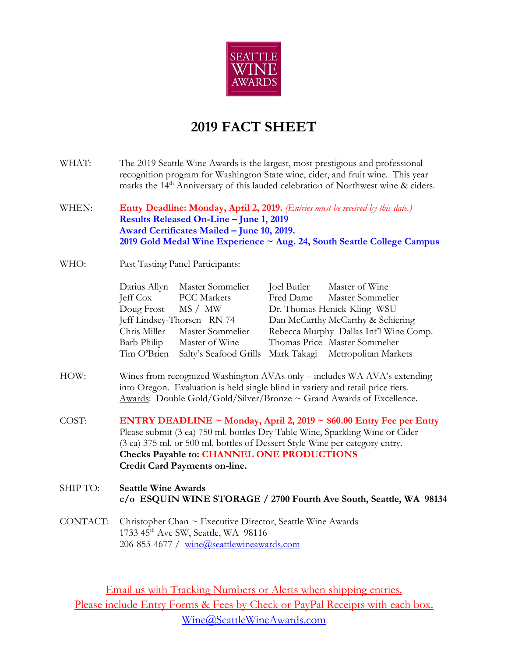

# **2019 FACT SHEET**

- WHAT: The 2019 Seattle Wine Awards is the largest, most prestigious and professional recognition program for Washington State wine, cider, and fruit wine. This year marks the 14<sup>th</sup> Anniversary of this lauded celebration of Northwest wine & ciders.
- WHEN: **Entry Deadline: Monday, April 2, 2019.** *(Entries must be received by this date.)* **Results Released On-Line – June 1, 2019 Award Certificates Mailed – June 10, 2019. 2019 Gold Medal Wine Experience ~ Aug. 24, South Seattle College Campus**
- WHO: Past Tasting Panel Participants:

| Darius Allyn               | Master Sommelier                                        | Joel Butler                       | Master of Wine                         |
|----------------------------|---------------------------------------------------------|-----------------------------------|----------------------------------------|
| Jeff Cox PCC Markets       |                                                         |                                   | Fred Dame Master Sommelier             |
| Doug Frost MS / MW         |                                                         | Dr. Thomas Henick-Kling WSU       |                                        |
| Jeff Lindsey-Thorsen RN 74 |                                                         | Dan McCarthy McCarthy & Schiering |                                        |
|                            | Chris Miller Master Sommelier                           |                                   | Rebecca Murphy Dallas Int'l Wine Comp. |
| Barb Philip                | Master of Wine                                          |                                   | Thomas Price Master Sommelier          |
| Tim O'Brien                | Salty's Seafood Grills Mark Takagi Metropolitan Markets |                                   |                                        |

- HOW: Wines from recognized Washington AVAs only includes WA AVA's extending into Oregon. Evaluation is held single blind in variety and retail price tiers. Awards: Double Gold/Gold/Silver/Bronze ~ Grand Awards of Excellence.
- COST: **ENTRY DEADLINE ~ Monday, April 2, 2019 ~ \$60.00 Entry Fee per Entry** Please submit (3 ea) 750 ml. bottles Dry Table Wine, Sparkling Wine or Cider (3 ea) 375 ml. or 500 ml. bottles of Dessert Style Wine per category entry. **Checks Payable to: CHANNEL ONE PRODUCTIONS Credit Card Payments on-line.**

### SHIP TO: **Seattle Wine Awards c/o ESQUIN WINE STORAGE / 2700 Fourth Ave South, Seattle, WA 98134**

CONTACT: Christopher Chan ~ Executive Director, Seattle Wine Awards 1733 45<sup>th</sup> Ave SW, Seattle, WA 98116 206-853-4677 / [wine@seattlewineawards.com](mailto:wine@seattlewineawards.com)

Email us with Tracking Numbers or Alerts when shipping entries. Please include Entry Forms & Fees by Check or PayPal Receipts with each box. [Wine@SeattleWineAwards.com](mailto:Wine@SeattleWineAwards.com)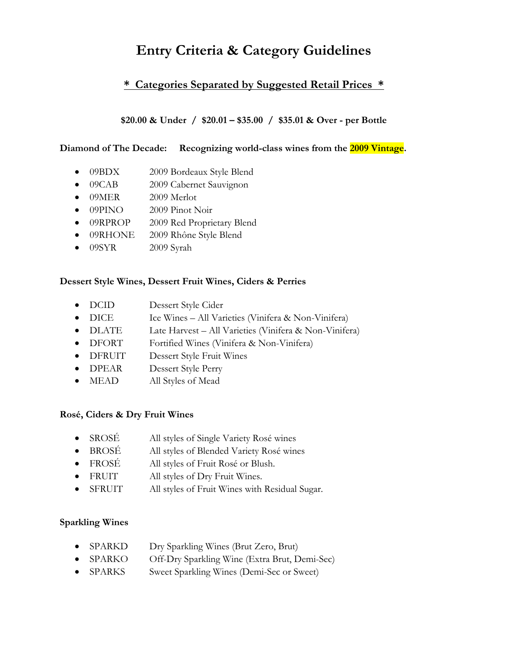# **Entry Criteria & Category Guidelines**

## **\* Categories Separated by Suggested Retail Prices \***

### **\$20.00 & Under / \$20.01 – \$35.00 / \$35.01 & Over - per Bottle**

#### **Diamond of The Decade: Recognizing world-class wines from the 2009 Vintage.**

- 09BDX 2009 Bordeaux Style Blend
- 09CAB 2009 Cabernet Sauvignon
- 09MER 2009 Merlot
- 09PINO 2009 Pinot Noir
- 09RPROP 2009 Red Proprietary Blend
- 09RHONE 2009 Rhône Style Blend
- 09SYR 2009 Syrah

#### **Dessert Style Wines, Dessert Fruit Wines, Ciders & Perries**

- DCID Dessert Style Cider
- DICE Ice Wines All Varieties (Vinifera & Non-Vinifera)
- DLATE Late Harvest All Varieties (Vinifera & Non-Vinifera)
- DFORT Fortified Wines (Vinifera & Non-Vinifera)
- DFRUIT Dessert Style Fruit Wines
- DPEAR Dessert Style Perry
- MEAD All Styles of Mead

#### **Rosé, Ciders & Dry Fruit Wines**

- SROSÉ All styles of Single Variety Rosé wines
- BROSÉ All styles of Blended Variety Rosé wines
- FROSÉ All styles of Fruit Rosé or Blush.
- FRUIT All styles of Dry Fruit Wines.
- SFRUIT All styles of Fruit Wines with Residual Sugar.

#### **Sparkling Wines**

- SPARKD Dry Sparkling Wines (Brut Zero, Brut)
- SPARKO Off-Dry Sparkling Wine (Extra Brut, Demi-Sec)
- SPARKS Sweet Sparkling Wines (Demi-Sec or Sweet)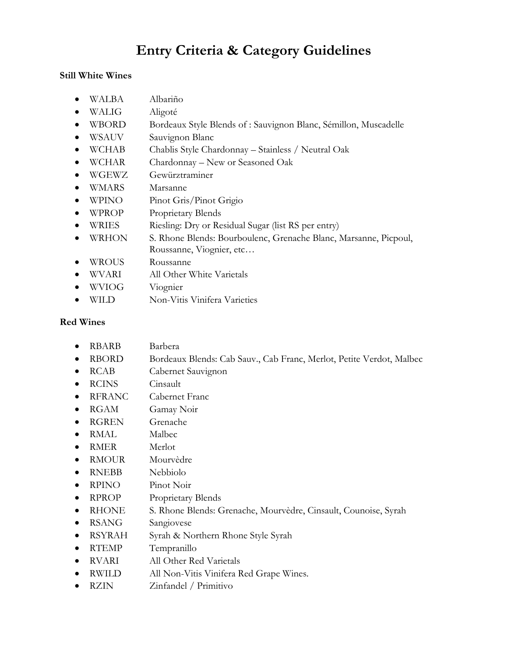# **Entry Criteria & Category Guidelines**

#### **Still White Wines**

- WALBA Albariño
- WALIG Aligoté
- WBORD Bordeaux Style Blends of : Sauvignon Blanc, Sémillon, Muscadelle
- WSAUV Sauvignon Blanc
- WCHAB Chablis Style Chardonnay Stainless / Neutral Oak
- WCHAR Chardonnay New or Seasoned Oak
- WGEWZ Gewürztraminer
- WMARS Marsanne
- WPINO Pinot Gris/Pinot Grigio
- WPROP Proprietary Blends
- WRIES Riesling: Dry or Residual Sugar (list RS per entry)
- WRHON S. Rhone Blends: Bourboulenc, Grenache Blanc, Marsanne, Picpoul, Roussanne, Viognier, etc…
- WROUS Roussanne
- WVARI All Other White Varietals
- WVIOG Viognier
- WILD Non-Vitis Vinifera Varieties

### **Red Wines**

- RBARB Barbera
- RBORD Bordeaux Blends: Cab Sauv., Cab Franc, Merlot, Petite Verdot, Malbec
- RCAB Cabernet Sauvignon
- RCINS Cinsault
- RFRANC Cabernet Franc
- RGAM Gamay Noir
- RGREN Grenache
- RMAL Malbec
- RMER Merlot
- RMOUR Mourvèdre
- RNEBB Nebbiolo
- RPINO Pinot Noir
- RPROP Proprietary Blends
- RHONE S. Rhone Blends: Grenache, Mourvèdre, Cinsault, Counoise, Syrah
- RSANG Sangiovese
- RSYRAH Syrah & Northern Rhone Style Syrah
- RTEMP Tempranillo
- RVARI All Other Red Varietals
- RWILD All Non-Vitis Vinifera Red Grape Wines.
- RZIN Zinfandel / Primitivo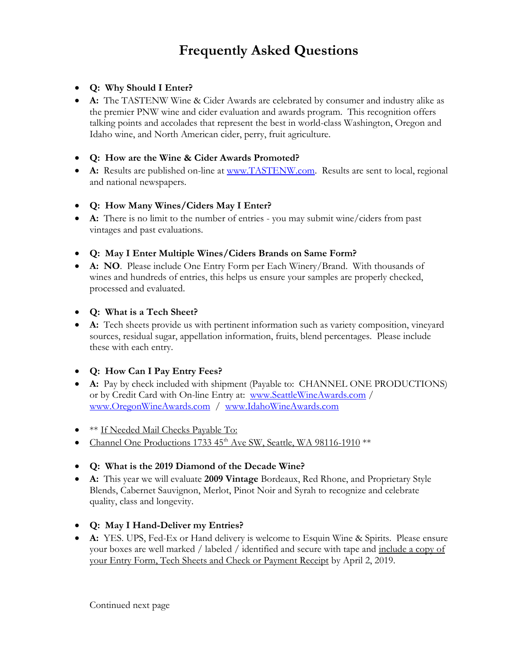# **Frequently Asked Questions**

### • **Q: Why Should I Enter?**

• **A:** The TASTENW Wine & Cider Awards are celebrated by consumer and industry alike as the premier PNW wine and cider evaluation and awards program. This recognition offers talking points and accolades that represent the best in world-class Washington, Oregon and Idaho wine, and North American cider, perry, fruit agriculture.

### • **Q: How are the Wine & Cider Awards Promoted?**

- A: Results are published on-line at [www.TASTENW.com.](http://www.tastenw.com/) Results are sent to local, regional and national newspapers.
- **Q: How Many Wines/Ciders May I Enter?**
- **A:** There is no limit to the number of entries you may submit wine/ciders from past vintages and past evaluations.
- **Q: May I Enter Multiple Wines/Ciders Brands on Same Form?**
- **A: NO**. Please include One Entry Form per Each Winery/Brand. With thousands of wines and hundreds of entries, this helps us ensure your samples are properly checked, processed and evaluated.
- **Q: What is a Tech Sheet?**
- **A:** Tech sheets provide us with pertinent information such as variety composition, vineyard sources, residual sugar, appellation information, fruits, blend percentages. Please include these with each entry.
- **Q: How Can I Pay Entry Fees?**
- **A:** Pay by check included with shipment (Payable to: CHANNEL ONE PRODUCTIONS) or by Credit Card with On-line Entry at: [www.SeattleWineAwards.com](http://www.seattlewineawards.com/) / [www.OregonWineAwards.com](http://www.oregonwineawards.com/) / [www.IdahoWineAwards.com](http://www.idahowineawards.com/)
- **\*\*** If Needed Mail Checks Payable To:
- Channel One Productions 1733  $45<sup>th</sup>$  Ave SW, Seattle, WA 98116-1910  $**$
- **Q: What is the 2019 Diamond of the Decade Wine?**
- **A:** This year we will evaluate **2009 Vintage** Bordeaux, Red Rhone, and Proprietary Style Blends, Cabernet Sauvignon, Merlot, Pinot Noir and Syrah to recognize and celebrate quality, class and longevity.
- **Q: May I Hand-Deliver my Entries?**
- **A:** YES. UPS, Fed-Ex or Hand delivery is welcome to Esquin Wine & Spirits. Please ensure your boxes are well marked / labeled / identified and secure with tape and include a copy of your Entry Form, Tech Sheets and Check or Payment Receipt by April 2, 2019.

Continued next page